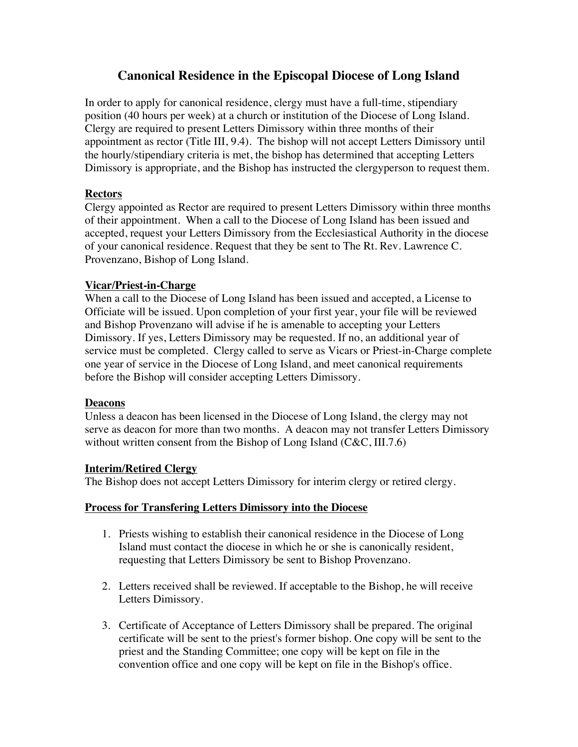# **Canonical Residence in the Episcopal Diocese of Long Island**

In order to apply for canonical residence, clergy must have a full-time, stipendiary position (40 hours per week) at a church or institution of the Diocese of Long Island. Clergy are required to present Letters Dimissory within three months of their appointment as rector (Title III, 9.4). The bishop will not accept Letters Dimissory until the hourly/stipendiary criteria is met, the bishop has determined that accepting Letters Dimissory is appropriate, and the Bishop has instructed the clergyperson to request them.

### **Rectors**

Clergy appointed as Rector are required to present Letters Dimissory within three months of their appointment. When a call to the Diocese of Long Island has been issued and accepted, request your Letters Dimissory from the Ecclesiastical Authority in the diocese of your canonical residence. Request that they be sent to The Rt. Rev. Lawrence C. Provenzano, Bishop of Long Island.

#### **Vicar/Priest-in-Charge**

When a call to the Diocese of Long Island has been issued and accepted, a License to Officiate will be issued. Upon completion of your first year, your file will be reviewed and Bishop Provenzano will advise if he is amenable to accepting your Letters Dimissory. If yes, Letters Dimissory may be requested. If no, an additional year of service must be completed. Clergy called to serve as Vicars or Priest-in-Charge complete one year of service in the Diocese of Long Island, and meet canonical requirements before the Bishop will consider accepting Letters Dimissory.

#### **Deacons**

Unless a deacon has been licensed in the Diocese of Long Island, the clergy may not serve as deacon for more than two months. A deacon may not transfer Letters Dimissory without written consent from the Bishop of Long Island (C&C, III.7.6)

## **Interim/Retired Clergy**

The Bishop does not accept Letters Dimissory for interim clergy or retired clergy.

#### **Process for Transfering Letters Dimissory into the Diocese**

- 1. Priests wishing to establish their canonical residence in the Diocese of Long Island must contact the diocese in which he or she is canonically resident, requesting that Letters Dimissory be sent to Bishop Provenzano.
- 2. Letters received shall be reviewed. If acceptable to the Bishop, he will receive Letters Dimissory.
- 3. Certificate of Acceptance of Letters Dimissory shall be prepared. The original certificate will be sent to the priest's former bishop. One copy will be sent to the priest and the Standing Committee; one copy will be kept on file in the convention office and one copy will be kept on file in the Bishop's office.